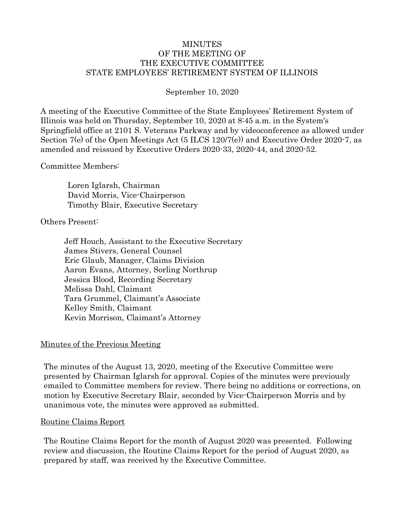#### MINUTES OF THE MEETING OF THE EXECUTIVE COMMITTEE STATE EMPLOYEES' RETIREMENT SYSTEM OF ILLINOIS

September 10, 2020

A meeting of the Executive Committee of the State Employees' Retirement System of Illinois was held on Thursday, September 10, 2020 at 8:45 a.m. in the System's Springfield office at 2101 S. Veterans Parkway and by videoconference as allowed under Section 7(e) of the Open Meetings Act (5 ILCS 120/7(e)) and Executive Order 2020-7, as amended and reissued by Executive Orders 2020-33, 2020-44, and 2020-52.

Committee Members:

Loren Iglarsh, Chairman David Morris, Vice-Chairperson Timothy Blair, Executive Secretary

Others Present:

Jeff Houch, Assistant to the Executive Secretary James Stivers, General Counsel Eric Glaub, Manager, Claims Division Aaron Evans, Attorney, Sorling Northrup Jessica Blood, Recording Secretary Melissa Dahl, Claimant Tara Grummel, Claimant's Associate Kelley Smith, Claimant Kevin Morrison, Claimant's Attorney

#### Minutes of the Previous Meeting

The minutes of the August 13, 2020, meeting of the Executive Committee were presented by Chairman Iglarsh for approval. Copies of the minutes were previously emailed to Committee members for review. There being no additions or corrections, on motion by Executive Secretary Blair, seconded by Vice-Chairperson Morris and by unanimous vote, the minutes were approved as submitted.

#### Routine Claims Report

The Routine Claims Report for the month of August 2020 was presented. Following review and discussion, the Routine Claims Report for the period of August 2020, as prepared by staff, was received by the Executive Committee.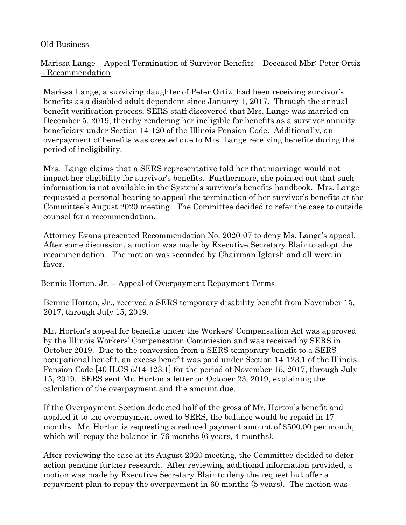## Old Business

# Marissa Lange – Appeal Termination of Survivor Benefits – Deceased Mbr: Peter Ortiz – Recommendation

Marissa Lange, a surviving daughter of Peter Ortiz, had been receiving survivor's benefits as a disabled adult dependent since January 1, 2017. Through the annual benefit verification process, SERS staff discovered that Mrs. Lange was married on December 5, 2019, thereby rendering her ineligible for benefits as a survivor annuity beneficiary under Section 14-120 of the Illinois Pension Code. Additionally, an overpayment of benefits was created due to Mrs. Lange receiving benefits during the period of ineligibility.

Mrs. Lange claims that a SERS representative told her that marriage would not impact her eligibility for survivor's benefits. Furthermore, she pointed out that such information is not available in the System's survivor's benefits handbook. Mrs. Lange requested a personal hearing to appeal the termination of her survivor's benefits at the Committee's August 2020 meeting. The Committee decided to refer the case to outside counsel for a recommendation.

Attorney Evans presented Recommendation No. 2020-07 to deny Ms. Lange's appeal. After some discussion, a motion was made by Executive Secretary Blair to adopt the recommendation. The motion was seconded by Chairman Iglarsh and all were in favor.

# Bennie Horton, Jr. – Appeal of Overpayment Repayment Terms

Bennie Horton, Jr., received a SERS temporary disability benefit from November 15, 2017, through July 15, 2019.

Mr. Horton's appeal for benefits under the Workers' Compensation Act was approved by the Illinois Workers' Compensation Commission and was received by SERS in October 2019. Due to the conversion from a SERS temporary benefit to a SERS occupational benefit, an excess benefit was paid under Section 14-123.1 of the Illinois Pension Code [40 ILCS 5/14-123.1] for the period of November 15, 2017, through July 15, 2019. SERS sent Mr. Horton a letter on October 23, 2019, explaining the calculation of the overpayment and the amount due.

If the Overpayment Section deducted half of the gross of Mr. Horton's benefit and applied it to the overpayment owed to SERS, the balance would be repaid in 17 months. Mr. Horton is requesting a reduced payment amount of \$500.00 per month, which will repay the balance in 76 months (6 years, 4 months).

After reviewing the case at its August 2020 meeting, the Committee decided to defer action pending further research. After reviewing additional information provided, a motion was made by Executive Secretary Blair to deny the request but offer a repayment plan to repay the overpayment in 60 months (5 years). The motion was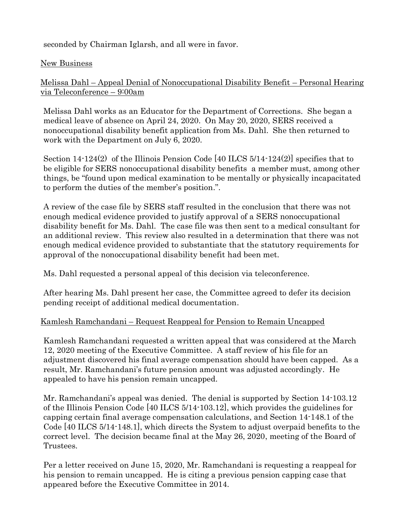seconded by Chairman Iglarsh, and all were in favor.

# New Business

Melissa Dahl – Appeal Denial of Nonoccupational Disability Benefit – Personal Hearing via Teleconference – 9:00am

Melissa Dahl works as an Educator for the Department of Corrections. She began a medical leave of absence on April 24, 2020. On May 20, 2020, SERS received a nonoccupational disability benefit application from Ms. Dahl. She then returned to work with the Department on July 6, 2020.

Section 14-124(2) of the Illinois Pension Code [40 ILCS 5/14-124(2)] specifies that to be eligible for SERS nonoccupational disability benefits a member must, among other things, be "found upon medical examination to be mentally or physically incapacitated to perform the duties of the member's position.".

A review of the case file by SERS staff resulted in the conclusion that there was not enough medical evidence provided to justify approval of a SERS nonoccupational disability benefit for Ms. Dahl. The case file was then sent to a medical consultant for an additional review. This review also resulted in a determination that there was not enough medical evidence provided to substantiate that the statutory requirements for approval of the nonoccupational disability benefit had been met.

Ms. Dahl requested a personal appeal of this decision via teleconference.

After hearing Ms. Dahl present her case, the Committee agreed to defer its decision pending receipt of additional medical documentation.

# Kamlesh Ramchandani – Request Reappeal for Pension to Remain Uncapped

Kamlesh Ramchandani requested a written appeal that was considered at the March 12, 2020 meeting of the Executive Committee. A staff review of his file for an adjustment discovered his final average compensation should have been capped. As a result, Mr. Ramchandani's future pension amount was adjusted accordingly. He appealed to have his pension remain uncapped.

Mr. Ramchandani's appeal was denied. The denial is supported by Section 14-103.12 of the Illinois Pension Code [40 ILCS 5/14-103.12], which provides the guidelines for capping certain final average compensation calculations, and Section 14-148.1 of the Code [40 ILCS 5/14-148.1], which directs the System to adjust overpaid benefits to the correct level. The decision became final at the May 26, 2020, meeting of the Board of Trustees.

Per a letter received on June 15, 2020, Mr. Ramchandani is requesting a reappeal for his pension to remain uncapped. He is citing a previous pension capping case that appeared before the Executive Committee in 2014.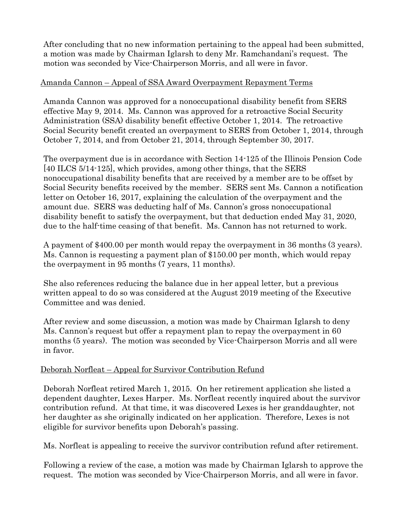After concluding that no new information pertaining to the appeal had been submitted, a motion was made by Chairman Iglarsh to deny Mr. Ramchandani's request. The motion was seconded by Vice-Chairperson Morris, and all were in favor.

# Amanda Cannon – Appeal of SSA Award Overpayment Repayment Terms

Amanda Cannon was approved for a nonoccupational disability benefit from SERS effective May 9, 2014. Ms. Cannon was approved for a retroactive Social Security Administration (SSA) disability benefit effective October 1, 2014. The retroactive Social Security benefit created an overpayment to SERS from October 1, 2014, through October 7, 2014, and from October 21, 2014, through September 30, 2017.

The overpayment due is in accordance with Section 14-125 of the Illinois Pension Code [40 ILCS 5/14-125], which provides, among other things, that the SERS nonoccupational disability benefits that are received by a member are to be offset by Social Security benefits received by the member. SERS sent Ms. Cannon a notification letter on October 16, 2017, explaining the calculation of the overpayment and the amount due. SERS was deducting half of Ms. Cannon's gross nonoccupational disability benefit to satisfy the overpayment, but that deduction ended May 31, 2020, due to the half-time ceasing of that benefit. Ms. Cannon has not returned to work.

A payment of \$400.00 per month would repay the overpayment in 36 months (3 years). Ms. Cannon is requesting a payment plan of \$150.00 per month, which would repay the overpayment in 95 months (7 years, 11 months).

She also references reducing the balance due in her appeal letter, but a previous written appeal to do so was considered at the August 2019 meeting of the Executive Committee and was denied.

After review and some discussion, a motion was made by Chairman Iglarsh to deny Ms. Cannon's request but offer a repayment plan to repay the overpayment in 60 months (5 years). The motion was seconded by Vice-Chairperson Morris and all were in favor.

# Deborah Norfleat – Appeal for Survivor Contribution Refund

Deborah Norfleat retired March 1, 2015. On her retirement application she listed a dependent daughter, Lexes Harper. Ms. Norfleat recently inquired about the survivor contribution refund. At that time, it was discovered Lexes is her granddaughter, not her daughter as she originally indicated on her application. Therefore, Lexes is not eligible for survivor benefits upon Deborah's passing.

Ms. Norfleat is appealing to receive the survivor contribution refund after retirement.

Following a review of the case, a motion was made by Chairman Iglarsh to approve the request. The motion was seconded by Vice-Chairperson Morris, and all were in favor.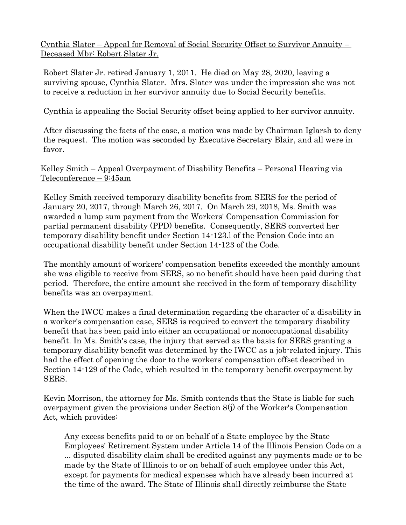Cynthia Slater – Appeal for Removal of Social Security Offset to Survivor Annuity – Deceased Mbr: Robert Slater Jr.

Robert Slater Jr. retired January 1, 2011. He died on May 28, 2020, leaving a surviving spouse, Cynthia Slater. Mrs. Slater was under the impression she was not to receive a reduction in her survivor annuity due to Social Security benefits.

Cynthia is appealing the Social Security offset being applied to her survivor annuity.

After discussing the facts of the case, a motion was made by Chairman Iglarsh to deny the request. The motion was seconded by Executive Secretary Blair, and all were in favor.

## Kelley Smith – Appeal Overpayment of Disability Benefits – Personal Hearing via Teleconference – 9:45am

Kelley Smith received temporary disability benefits from SERS for the period of January 20, 2017, through March 26, 2017. On March 29, 2018, Ms. Smith was awarded a lump sum payment from the Workers' Compensation Commission for partial permanent disability (PPD) benefits. Consequently, SERS converted her temporary disability benefit under Section 14-123.l of the Pension Code into an occupational disability benefit under Section 14-123 of the Code.

The monthly amount of workers' compensation benefits exceeded the monthly amount she was eligible to receive from SERS, so no benefit should have been paid during that period. Therefore, the entire amount she received in the form of temporary disability benefits was an overpayment.

When the IWCC makes a final determination regarding the character of a disability in a worker's compensation case, SERS is required to convert the temporary disability benefit that has been paid into either an occupational or nonoccupational disability benefit. In Ms. Smith's case, the injury that served as the basis for SERS granting a temporary disability benefit was determined by the IWCC as a job-related injury. This had the effect of opening the door to the workers' compensation offset described in Section 14-129 of the Code, which resulted in the temporary benefit overpayment by SERS.

Kevin Morrison, the attorney for Ms. Smith contends that the State is liable for such overpayment given the provisions under Section 8(j) of the Worker's Compensation Act, which provides:

Any excess benefits paid to or on behalf of a State employee by the State Employees' Retirement System under Article 14 of the Illinois Pension Code on a ... disputed disability claim shall be credited against any payments made or to be made by the State of Illinois to or on behalf of such employee under this Act, except for payments for medical expenses which have already been incurred at the time of the award. The State of Illinois shall directly reimburse the State